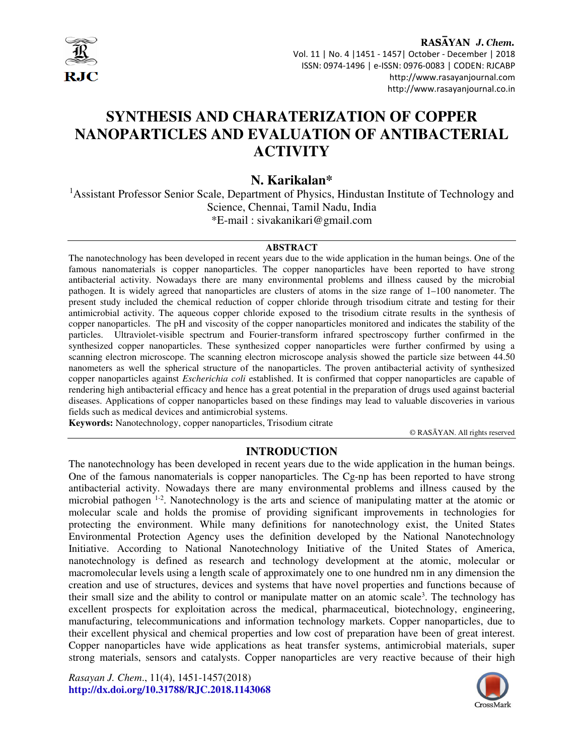

 Vol. 11 | No. 4 |1451 - 1457| October - December | 2018 ISSN: 0974-1496 | e-ISSN: 0976-0083 | CODEN: RJCABP http://www.rasayanjournal.com http://www.rasayanjournal.co.in

# **SYNTHESIS AND CHARATERIZATION OF COPPER NANOPARTICLES AND EVALUATION OF ANTIBACTERIAL ACTIVITY**

# **N. Karikalan\***

<sup>1</sup> Assistant Professor Senior Scale, Department of Physics, Hindustan Institute of Technology and Science, Chennai, Tamil Nadu, India \*E-mail : sivakanikari@gmail.com

#### **ABSTRACT**

The nanotechnology has been developed in recent years due to the wide application in the human beings. One of the famous nanomaterials is copper nanoparticles. The copper nanoparticles have been reported to have strong antibacterial activity. Nowadays there are many environmental problems and illness caused by the microbial pathogen. It is widely agreed that nanoparticles are clusters of atoms in the size range of 1–100 nanometer. The present study included the chemical reduction of copper chloride through trisodium citrate and testing for their antimicrobial activity. The aqueous copper chloride exposed to the trisodium citrate results in the synthesis of copper nanoparticles. The pH and viscosity of the copper nanoparticles monitored and indicates the stability of the particles. Ultraviolet-visible spectrum and Fourier-transform infrared spectroscopy further confirmed in the synthesized copper nanoparticles. These synthesized copper nanoparticles were further confirmed by using a scanning electron microscope. The scanning electron microscope analysis showed the particle size between 44.50 nanometers as well the spherical structure of the nanoparticles. The proven antibacterial activity of synthesized copper nanoparticles against *Escherichia coli* established. It is confirmed that copper nanoparticles are capable of rendering high antibacterial efficacy and hence has a great potential in the preparation of drugs used against bacterial diseases. Applications of copper nanoparticles based on these findings may lead to valuable discoveries in various fields such as medical devices and antimicrobial systems.

**Keywords:** Nanotechnology, copper nanoparticles, Trisodium citrate

© RASĀYAN. All rights reserved

### **INTRODUCTION**

The nanotechnology has been developed in recent years due to the wide application in the human beings. One of the famous nanomaterials is copper nanoparticles. The Cg-np has been reported to have strong antibacterial activity. Nowadays there are many environmental problems and illness caused by the microbial pathogen 1-2. Nanotechnology is the arts and science of manipulating matter at the atomic or molecular scale and holds the promise of providing significant improvements in technologies for protecting the environment. While many definitions for nanotechnology exist, the United States Environmental Protection Agency uses the definition developed by the National Nanotechnology Initiative. According to National Nanotechnology Initiative of the United States of America, nanotechnology is defined as research and technology development at the atomic, molecular or macromolecular levels using a length scale of approximately one to one hundred nm in any dimension the creation and use of structures, devices and systems that have novel properties and functions because of their small size and the ability to control or manipulate matter on an atomic scale<sup>3</sup>. The technology has excellent prospects for exploitation across the medical, pharmaceutical, biotechnology, engineering, manufacturing, telecommunications and information technology markets. Copper nanoparticles, due to their excellent physical and chemical properties and low cost of preparation have been of great interest. Copper nanoparticles have wide applications as heat transfer systems, antimicrobial materials, super strong materials, sensors and catalysts. Copper nanoparticles are very reactive because of their high

*Rasayan J. Chem*., 11(4), 1451-1457(2018) **http://dx.doi.org/10.31788/RJC.2018.1143068**

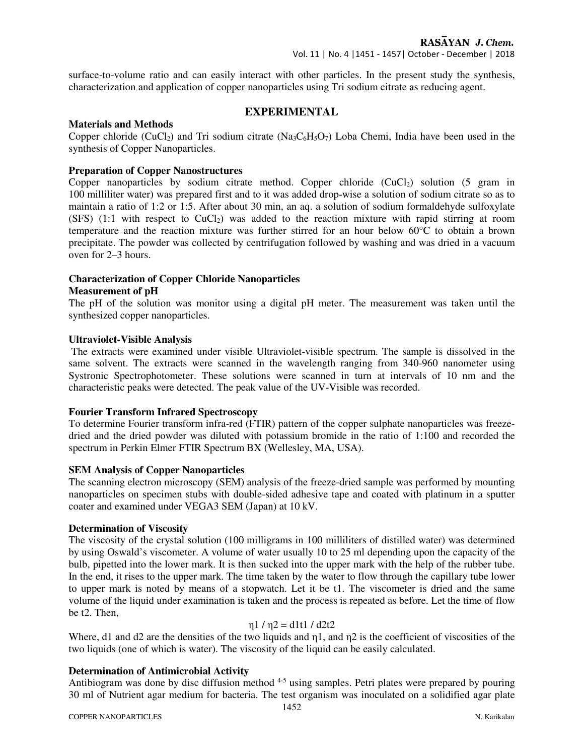surface-to-volume ratio and can easily interact with other particles. In the present study the synthesis, characterization and application of copper nanoparticles using Tri sodium citrate as reducing agent.

### **EXPERIMENTAL**

#### **Materials and Methods**

Copper chloride (CuCl<sub>2</sub>) and Tri sodium citrate (Na<sub>3</sub>C<sub>6</sub>H<sub>5</sub>O<sub>7</sub>) Loba Chemi, India have been used in the synthesis of Copper Nanoparticles.

### **Preparation of Copper Nanostructures**

Copper nanoparticles by sodium citrate method. Copper chloride  $(CuCl<sub>2</sub>)$  solution (5 gram in 100 milliliter water) was prepared first and to it was added drop-wise a solution of sodium citrate so as to maintain a ratio of 1:2 or 1:5. After about 30 min, an aq. a solution of sodium formaldehyde sulfoxylate (SFS)  $(1:1)$  with respect to CuCl<sub>2</sub>) was added to the reaction mixture with rapid stirring at room temperature and the reaction mixture was further stirred for an hour below 60°C to obtain a brown precipitate. The powder was collected by centrifugation followed by washing and was dried in a vacuum oven for 2–3 hours.

### **Characterization of Copper Chloride Nanoparticles**

#### **Measurement of pH**

The pH of the solution was monitor using a digital pH meter. The measurement was taken until the synthesized copper nanoparticles.

#### **Ultraviolet-Visible Analysis**

 The extracts were examined under visible Ultraviolet-visible spectrum. The sample is dissolved in the same solvent. The extracts were scanned in the wavelength ranging from 340-960 nanometer using Systronic Spectrophotometer. These solutions were scanned in turn at intervals of 10 nm and the characteristic peaks were detected. The peak value of the UV-Visible was recorded.

### **Fourier Transform Infrared Spectroscopy**

To determine Fourier transform infra-red (FTIR) pattern of the copper sulphate nanoparticles was freezedried and the dried powder was diluted with potassium bromide in the ratio of 1:100 and recorded the spectrum in Perkin Elmer FTIR Spectrum BX (Wellesley, MA, USA).

#### **SEM Analysis of Copper Nanoparticles**

The scanning electron microscopy (SEM) analysis of the freeze-dried sample was performed by mounting nanoparticles on specimen stubs with double-sided adhesive tape and coated with platinum in a sputter coater and examined under VEGA3 SEM (Japan) at 10 kV.

### **Determination of Viscosity**

The viscosity of the crystal solution (100 milligrams in 100 milliliters of distilled water) was determined by using Oswald's viscometer. A volume of water usually 10 to 25 ml depending upon the capacity of the bulb, pipetted into the lower mark. It is then sucked into the upper mark with the help of the rubber tube. In the end, it rises to the upper mark. The time taken by the water to flow through the capillary tube lower to upper mark is noted by means of a stopwatch. Let it be t1. The viscometer is dried and the same volume of the liquid under examination is taken and the process is repeated as before. Let the time of flow be t2. Then,

### $n1 / n2 = d1t1 / d2t2$

Where, d1 and d2 are the densities of the two liquids and η1, and η2 is the coefficient of viscosities of the two liquids (one of which is water). The viscosity of the liquid can be easily calculated.

### **Determination of Antimicrobial Activity**

Antibiogram was done by disc diffusion method <sup>4-5</sup> using samples. Petri plates were prepared by pouring 30 ml of Nutrient agar medium for bacteria. The test organism was inoculated on a solidified agar plate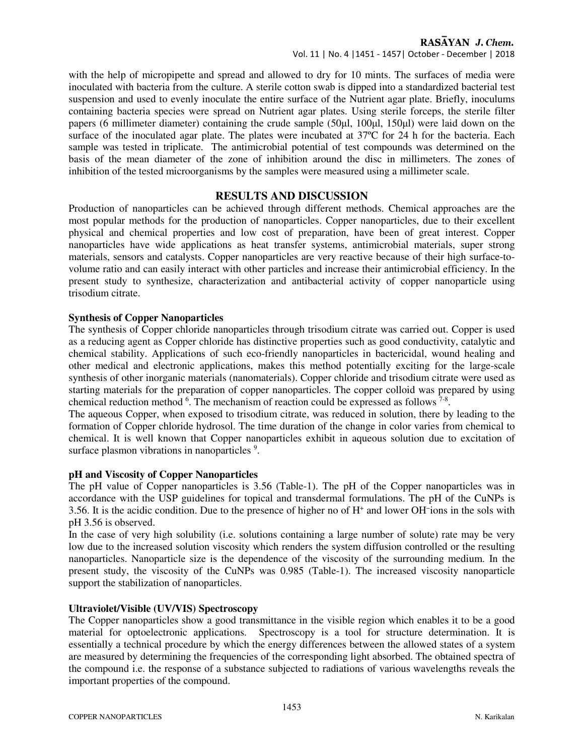Vol. 11 | No. 4 |1451 - 1457| October - December | 2018

with the help of micropipette and spread and allowed to dry for 10 mints. The surfaces of media were inoculated with bacteria from the culture. A sterile cotton swab is dipped into a standardized bacterial test suspension and used to evenly inoculate the entire surface of the Nutrient agar plate. Briefly, inoculums containing bacteria species were spread on Nutrient agar plates. Using sterile forceps, the sterile filter papers (6 millimeter diameter) containing the crude sample (50µl, 100µl, 150µl) were laid down on the surface of the inoculated agar plate. The plates were incubated at 37ºC for 24 h for the bacteria. Each sample was tested in triplicate. The antimicrobial potential of test compounds was determined on the basis of the mean diameter of the zone of inhibition around the disc in millimeters. The zones of inhibition of the tested microorganisms by the samples were measured using a millimeter scale.

### **RESULTS AND DISCUSSION**

Production of nanoparticles can be achieved through different methods. Chemical approaches are the most popular methods for the production of nanoparticles. Copper nanoparticles, due to their excellent physical and chemical properties and low cost of preparation, have been of great interest. Copper nanoparticles have wide applications as heat transfer systems, antimicrobial materials, super strong materials, sensors and catalysts. Copper nanoparticles are very reactive because of their high surface-tovolume ratio and can easily interact with other particles and increase their antimicrobial efficiency. In the present study to synthesize, characterization and antibacterial activity of copper nanoparticle using trisodium citrate.

### **Synthesis of Copper Nanoparticles**

The synthesis of Copper chloride nanoparticles through trisodium citrate was carried out. Copper is used as a reducing agent as Copper chloride has distinctive properties such as good conductivity, catalytic and chemical stability. Applications of such eco-friendly nanoparticles in bactericidal, wound healing and other medical and electronic applications, makes this method potentially exciting for the large-scale synthesis of other inorganic materials (nanomaterials). Copper chloride and trisodium citrate were used as starting materials for the preparation of copper nanoparticles. The copper colloid was prepared by using chemical reduction method  $6$ . The mechanism of reaction could be expressed as follows  $7-8$ .

The aqueous Copper, when exposed to trisodium citrate, was reduced in solution, there by leading to the formation of Copper chloride hydrosol. The time duration of the change in color varies from chemical to chemical. It is well known that Copper nanoparticles exhibit in aqueous solution due to excitation of surface plasmon vibrations in nanoparticles <sup>9</sup>.

### **pH and Viscosity of Copper Nanoparticles**

The pH value of Copper nanoparticles is 3.56 (Table-1). The pH of the Copper nanoparticles was in accordance with the USP guidelines for topical and transdermal formulations. The pH of the CuNPs is 3.56. It is the acidic condition. Due to the presence of higher no of H<sup>+</sup> and lower OH<sup>−</sup> ions in the sols with pH 3.56 is observed.

In the case of very high solubility (i.e. solutions containing a large number of solute) rate may be very low due to the increased solution viscosity which renders the system diffusion controlled or the resulting nanoparticles. Nanoparticle size is the dependence of the viscosity of the surrounding medium. In the present study, the viscosity of the CuNPs was 0.985 (Table-1). The increased viscosity nanoparticle support the stabilization of nanoparticles.

### **Ultraviolet/Visible (UV/VIS) Spectroscopy**

The Copper nanoparticles show a good transmittance in the visible region which enables it to be a good material for optoelectronic applications. Spectroscopy is a tool for structure determination. It is essentially a technical procedure by which the energy differences between the allowed states of a system are measured by determining the frequencies of the corresponding light absorbed. The obtained spectra of the compound i.e. the response of a substance subjected to radiations of various wavelengths reveals the important properties of the compound.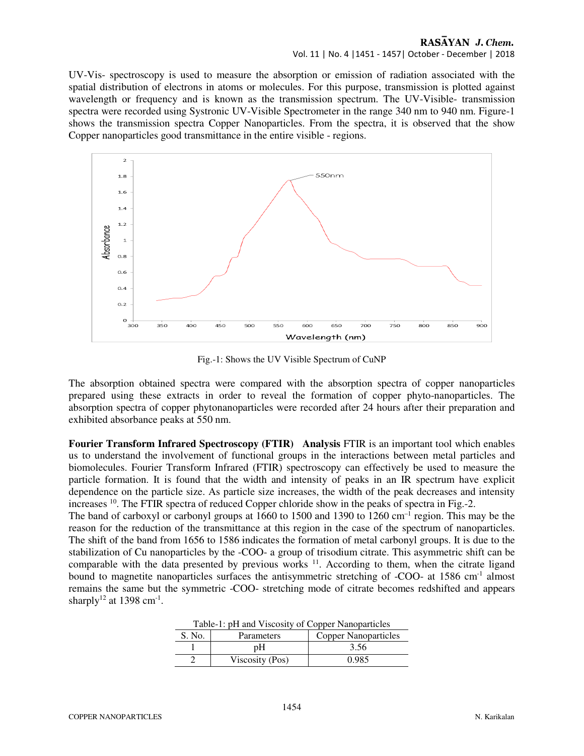#### Vol. 11 | No. 4 |1451 - 1457| October - December | 2018

UV-Vis- spectroscopy is used to measure the absorption or emission of radiation associated with the spatial distribution of electrons in atoms or molecules. For this purpose, transmission is plotted against wavelength or frequency and is known as the transmission spectrum. The UV-Visible- transmission spectra were recorded using Systronic UV-Visible Spectrometer in the range 340 nm to 940 nm. Figure-1 shows the transmission spectra Copper Nanoparticles. From the spectra, it is observed that the show Copper nanoparticles good transmittance in the entire visible - regions.



Fig.-1: Shows the UV Visible Spectrum of CuNP

The absorption obtained spectra were compared with the absorption spectra of copper nanoparticles prepared using these extracts in order to reveal the formation of copper phyto-nanoparticles. The absorption spectra of copper phytonanoparticles were recorded after 24 hours after their preparation and exhibited absorbance peaks at 550 nm.

**Fourier Transform Infrared Spectroscopy (FTIR) Analysis** FTIR is an important tool which enables us to understand the involvement of functional groups in the interactions between metal particles and biomolecules. Fourier Transform Infrared (FTIR) spectroscopy can effectively be used to measure the particle formation. It is found that the width and intensity of peaks in an IR spectrum have explicit dependence on the particle size. As particle size increases, the width of the peak decreases and intensity increases <sup>10</sup>. The FTIR spectra of reduced Copper chloride show in the peaks of spectra in Fig.-2.

The band of carboxyl or carbonyl groups at 1660 to 1500 and 1390 to 1260 cm<sup>-1</sup> region. This may be the reason for the reduction of the transmittance at this region in the case of the spectrum of nanoparticles. The shift of the band from 1656 to 1586 indicates the formation of metal carbonyl groups. It is due to the stabilization of Cu nanoparticles by the -COO- a group of trisodium citrate. This asymmetric shift can be comparable with the data presented by previous works <sup>11</sup>. According to them, when the citrate ligand bound to magnetite nanoparticles surfaces the antisymmetric stretching of -COO- at 1586 cm<sup>-1</sup> almost remains the same but the symmetric -COO- stretching mode of citrate becomes redshifted and appears sharply<sup>12</sup> at 1398 cm<sup>-1</sup>.

| Table-1: pH and Viscosity of Copper Nanoparticles |                                           |       |  |  |  |
|---------------------------------------------------|-------------------------------------------|-------|--|--|--|
| S. No.                                            | <b>Copper Nanoparticles</b><br>Parameters |       |  |  |  |
|                                                   | pΗ                                        | 3.56  |  |  |  |
|                                                   | Viscosity (Pos)                           | 0.985 |  |  |  |

|  | Table-1: pH and Viscosity of Copper Nanoparticles |
|--|---------------------------------------------------|
|--|---------------------------------------------------|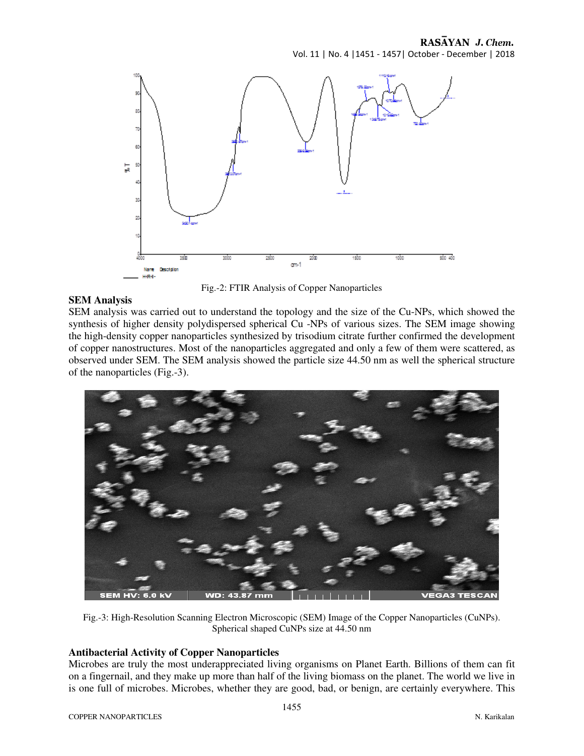Vol. 11 | No. 4 |1451 - 1457| October - December | 2018



Fig.-2: FTIR Analysis of Copper Nanoparticles

### **SEM Analysis**

SEM analysis was carried out to understand the topology and the size of the Cu-NPs, which showed the synthesis of higher density polydispersed spherical Cu -NPs of various sizes. The SEM image showing the high-density copper nanoparticles synthesized by trisodium citrate further confirmed the development of copper nanostructures. Most of the nanoparticles aggregated and only a few of them were scattered, as observed under SEM. The SEM analysis showed the particle size 44.50 nm as well the spherical structure of the nanoparticles (Fig.-3).



Fig.-3: High-Resolution Scanning Electron Microscopic (SEM) Image of the Copper Nanoparticles (CuNPs). Spherical shaped CuNPs size at 44.50 nm

### **Antibacterial Activity of Copper Nanoparticles**

Microbes are truly the most underappreciated living organisms on Planet Earth. Billions of them can fit on a fingernail, and they make up more than half of the living biomass on the planet. The world we live in is one full of microbes. Microbes, whether they are good, bad, or benign, are certainly everywhere. This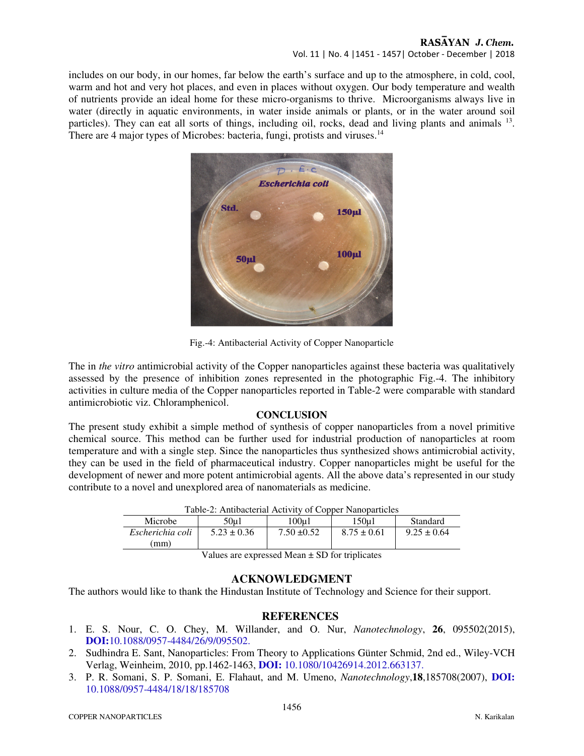### RASAYAN J. Chem. Vol. 11 | No. 4 |1451 - 1457| October - December | 2018

includes on our body, in our homes, far below the earth's surface and up to the atmosphere, in cold, cool, warm and hot and very hot places, and even in places without oxygen. Our body temperature and wealth of nutrients provide an ideal home for these micro-organisms to thrive. Microorganisms always live in water (directly in aquatic environments, in water inside animals or plants, or in the water around soil particles). They can eat all sorts of things, including oil, rocks, dead and living plants and animals <sup>13</sup>. There are 4 major types of Microbes: bacteria, fungi, protists and viruses.<sup>14</sup>



Fig.-4: Antibacterial Activity of Copper Nanoparticle

The in *the vitro* antimicrobial activity of the Copper nanoparticles against these bacteria was qualitatively assessed by the presence of inhibition zones represented in the photographic Fig.-4. The inhibitory activities in culture media of the Copper nanoparticles reported in Table-2 were comparable with standard antimicrobiotic viz. Chloramphenicol.

# **CONCLUSION**

The present study exhibit a simple method of synthesis of copper nanoparticles from a novel primitive chemical source. This method can be further used for industrial production of nanoparticles at room temperature and with a single step. Since the nanoparticles thus synthesized shows antimicrobial activity, they can be used in the field of pharmaceutical industry. Copper nanoparticles might be useful for the development of newer and more potent antimicrobial agents. All the above data's represented in our study contribute to a novel and unexplored area of nanomaterials as medicine.

| Table-2: Antibacterial Activity of Copper Nanoparticles |                 |                 |                 |                 |  |  |
|---------------------------------------------------------|-----------------|-----------------|-----------------|-----------------|--|--|
| Microbe                                                 | 50u1            | 100u1           | 150u1           | Standard        |  |  |
| Escherichia coli                                        | $5.23 \pm 0.36$ | $7.50 \pm 0.52$ | $8.75 \pm 0.61$ | $9.25 \pm 0.64$ |  |  |
| mm)                                                     |                 |                 |                 |                 |  |  |

Table-2: Antibacterial Activity of Copper Nanoparticles

Values are expressed Mean  $\pm$  SD for triplicates

# **ACKNOWLEDGMENT**

The authors would like to thank the Hindustan Institute of Technology and Science for their support.

# **REFERENCES**

- 1. E. S. Nour, C. O. Chey, M. Willander, and O. Nur, *Nanotechnology*, **26**, 095502(2015), **DOI:**10.1088/0957-4484/26/9/095502.
- 2. Sudhindra E. Sant, Nanoparticles: From Theory to Applications Günter Schmid, 2nd ed., Wiley-VCH Verlag, Weinheim, 2010, pp.1462-1463, **DOI:** 10.1080/10426914.2012.663137.
- 3. P. R. Somani, S. P. Somani, E. Flahaut, and M. Umeno, *Nanotechnology*,**18**,185708(2007), **DOI:** 10.1088/0957-4484/18/18/185708